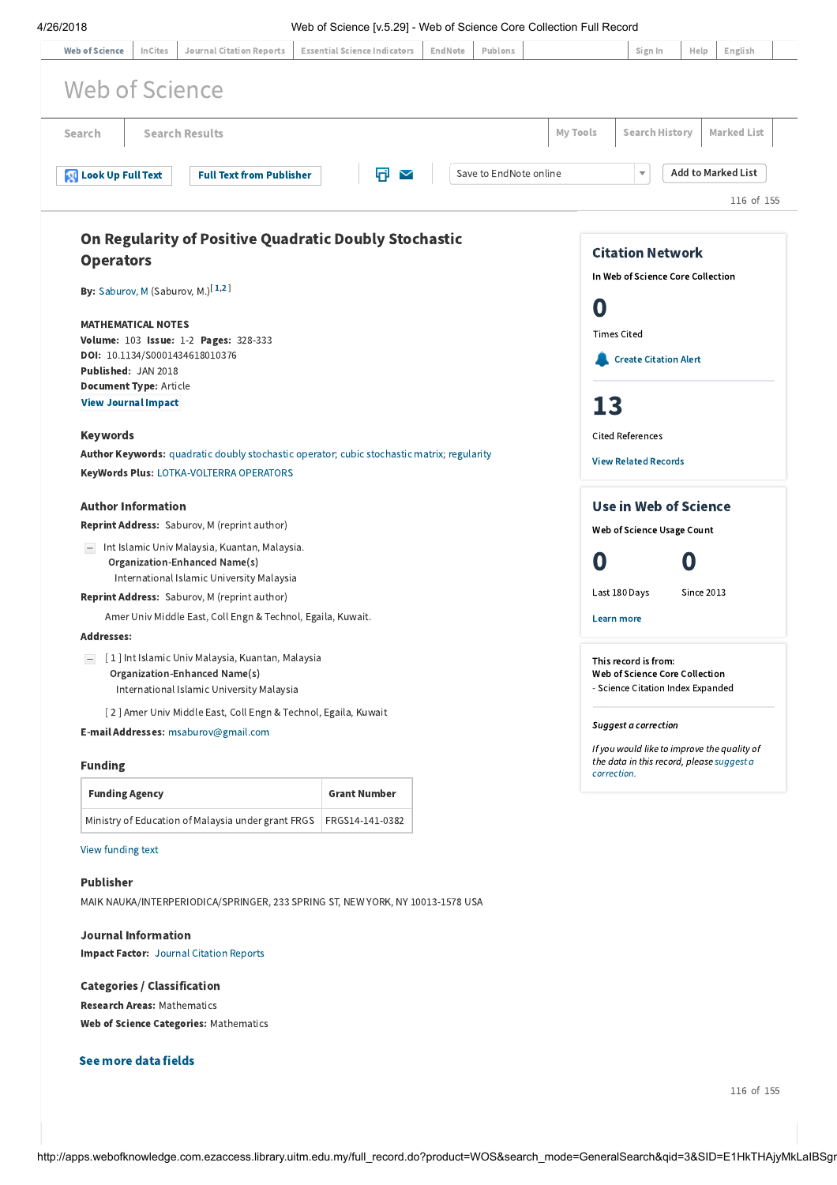| <b>Journal Citation Reports</b><br><b>Web of Science</b><br>InCites                                                                          | <b>Essential Science Indicators</b> | EndNote | Publons                |                       | Web of Science [v.5.29] - Web of Science Core Collection Full Record<br>Sign In                         | Help                      | English    |  |
|----------------------------------------------------------------------------------------------------------------------------------------------|-------------------------------------|---------|------------------------|-----------------------|---------------------------------------------------------------------------------------------------------|---------------------------|------------|--|
|                                                                                                                                              |                                     |         |                        |                       |                                                                                                         |                           |            |  |
| Web of Science                                                                                                                               |                                     |         |                        |                       |                                                                                                         |                           |            |  |
| <b>Search Results</b><br>Search                                                                                                              |                                     |         | My Tools               | <b>Search History</b> |                                                                                                         | <b>Marked List</b>        |            |  |
| <b>Look Up Full Text</b><br><b>Full Text from Publisher</b>                                                                                  | Π<br>$\checkmark$                   |         | Save to EndNote online |                       | $\overline{\mathbf{v}}$                                                                                 | <b>Add to Marked List</b> |            |  |
|                                                                                                                                              |                                     |         |                        |                       |                                                                                                         |                           | 116 of 155 |  |
|                                                                                                                                              |                                     |         |                        |                       |                                                                                                         |                           |            |  |
| On Regularity of Positive Quadratic Doubly Stochastic                                                                                        |                                     |         |                        |                       | <b>Citation Network</b>                                                                                 |                           |            |  |
| <b>Operators</b>                                                                                                                             |                                     |         |                        |                       | In Web of Science Core Collection                                                                       |                           |            |  |
| By: Saburov, M (Saburov, M.) <sup>[1,2]</sup>                                                                                                |                                     |         |                        |                       |                                                                                                         |                           |            |  |
|                                                                                                                                              |                                     |         |                        |                       | O                                                                                                       |                           |            |  |
| <b>MATHEMATICAL NOTES</b><br>Volume: 103 Issue: 1-2 Pages: 328-333                                                                           |                                     |         |                        |                       | <b>Times Cited</b>                                                                                      |                           |            |  |
| DOI: 10.1134/S0001434618010376                                                                                                               |                                     |         |                        |                       | <b>Create Citation Alert</b>                                                                            |                           |            |  |
| Published: JAN 2018<br><b>Document Type: Article</b>                                                                                         |                                     |         |                        |                       |                                                                                                         |                           |            |  |
| <b>View Journal Impact</b>                                                                                                                   |                                     |         |                        |                       | 13                                                                                                      |                           |            |  |
|                                                                                                                                              |                                     |         |                        |                       |                                                                                                         |                           |            |  |
| <b>Keywords</b>                                                                                                                              |                                     |         |                        |                       | <b>Cited References</b>                                                                                 |                           |            |  |
| <b>Author Keywords:</b> quadratic doubly stochastic operator; cubic stochastic matrix; regularity<br>KeyWords Plus: LOTKA-VOLTERRA OPERATORS |                                     |         |                        |                       | <b>View Related Records</b>                                                                             |                           |            |  |
| <b>Author Information</b>                                                                                                                    |                                     |         |                        |                       | <b>Use in Web of Science</b>                                                                            |                           |            |  |
| Reprint Address: Saburov, M (reprint author)                                                                                                 |                                     |         |                        |                       | Web of Science Usage Count                                                                              |                           |            |  |
| - Int Islamic Univ Malaysia, Kuantan, Malaysia.                                                                                              |                                     |         |                        |                       |                                                                                                         |                           |            |  |
| Organization-Enhanced Name(s)<br>International Islamic University Malaysia                                                                   |                                     |         |                        |                       |                                                                                                         | O                         |            |  |
| Reprint Address: Saburov, M (reprint author)                                                                                                 |                                     |         |                        |                       | Last 180 Days<br><b>Since 2013</b>                                                                      |                           |            |  |
| Amer Univ Middle East, Coll Engn & Technol, Egaila, Kuwait.                                                                                  |                                     |         |                        |                       | Learn more                                                                                              |                           |            |  |
| <b>Addresses:</b>                                                                                                                            |                                     |         |                        |                       |                                                                                                         |                           |            |  |
| [1] Int Islamic Univ Malaysia, Kuantan, Malaysia<br>Organization-Enhanced Name(s)<br>International Islamic University Malaysia               |                                     |         |                        |                       | This record is from:<br>Web of Science Core Collection<br>- Science Citation Index Expanded             |                           |            |  |
| [2] Amer Univ Middle East, Coll Engn & Technol, Egaila, Kuwait                                                                               |                                     |         |                        |                       |                                                                                                         |                           |            |  |
| E-mail Addresses: msaburov@gmail.com                                                                                                         |                                     |         |                        |                       | <b>Suggest a correction</b>                                                                             |                           |            |  |
| <b>Funding</b>                                                                                                                               |                                     |         |                        |                       | If you would like to improve the quality of<br>the data in this record, please suggest a<br>correction. |                           |            |  |
| <b>Funding Agency</b>                                                                                                                        | <b>Grant Number</b>                 |         |                        |                       |                                                                                                         |                           |            |  |
| Ministry of Education of Malaysia under grant FRGS                                                                                           | FRGS14-141-0382                     |         |                        |                       |                                                                                                         |                           |            |  |
| View funding text                                                                                                                            |                                     |         |                        |                       |                                                                                                         |                           |            |  |
| <b>Publisher</b>                                                                                                                             |                                     |         |                        |                       |                                                                                                         |                           |            |  |
|                                                                                                                                              |                                     |         |                        |                       |                                                                                                         |                           |            |  |

<span id="page-0-1"></span><span id="page-0-0"></span>Impact Factor: Journal [Citation](javascript:;) Reports

## Categories / Classification

Research Areas: Mathematics Web of Science Categories: Mathematics

## See more data fields

116 of 155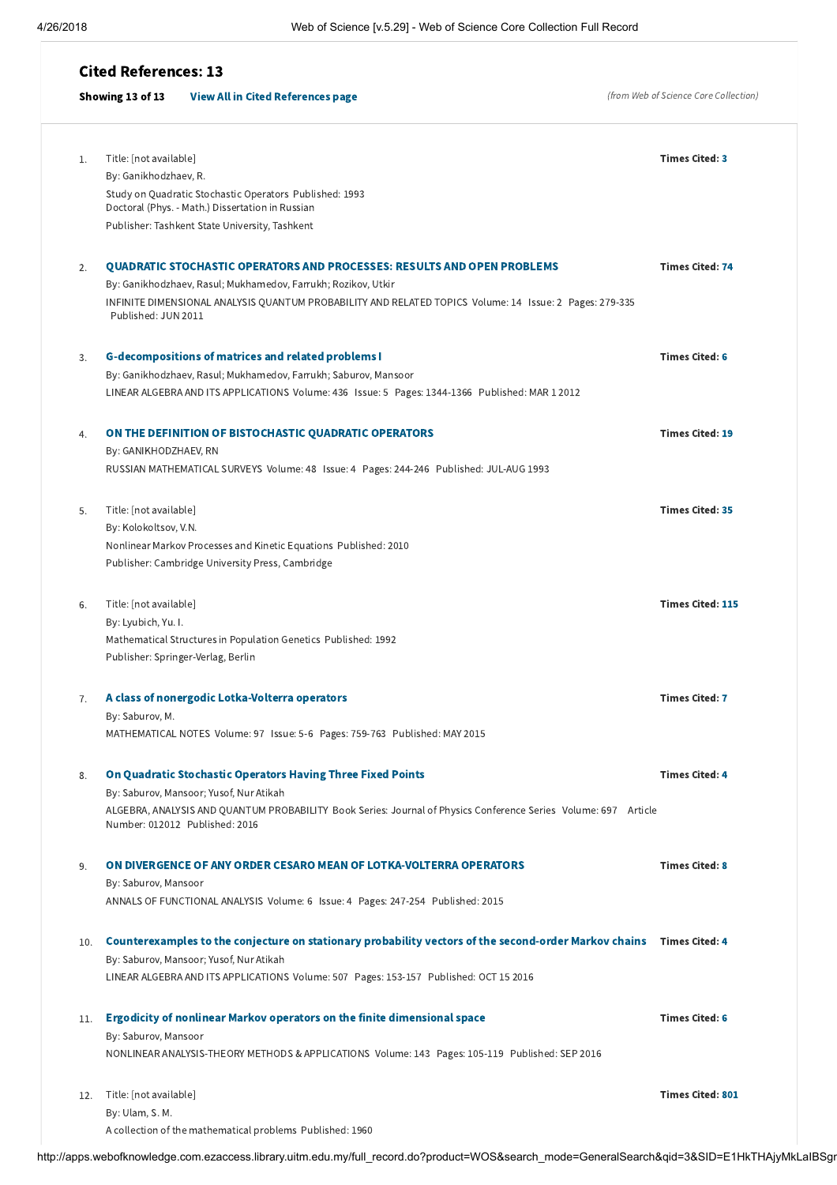## Cited References: 13

## (from Web of Science Core Collection) Showing 13 of 13 [View All in Cited References page](http://apps.webofknowledge.com.ezaccess.library.uitm.edu.my/summary.do?product=WOS&parentProduct=WOS&search_mode=CitedRefList&parentQid=3&parentDoc=116&qid=46&SID=E1HkTHAjyMkLaIBSgnv&colName=WOS&page=1) Title: [not available] By: Ganikhodzhaev, R. Study on Quadratic Stochastic Operators Published: 1993 Doctoral (Phys. - Math.) Dissertation in Russian Publisher: Tashkent State University, Tashkent Times Cited: [3](http://apps.webofknowledge.com.ezaccess.library.uitm.edu.my/CitingArticles.do?product=WOS&SID=E1HkTHAjyMkLaIBSgnv&search_mode=CitingArticles&parentProduct=WOS&parentQid=46&parentDoc=1&REFID=510658492&excludeEventConfig=ExcludeIfFromNonInterProduct) QUADRATIC STOCHASTIC OPERATORS AND [PROCESSES:](http://apps.webofknowledge.com.ezaccess.library.uitm.edu.my/CitedFullRecord.do?product=WOS&colName=WOS&SID=E1HkTHAjyMkLaIBSgnv&search_mode=CitedFullRecord&isickref=WOS:000291950900007) RESULTS AND OPEN PROBLEMS By: Ganikhodzhaev, Rasul; Mukhamedov, Farrukh; Rozikov, Utkir INFINITE DIMENSIONAL ANALYSIS QUANTUM PROBABILITY AND RELATED TOPICS Volume: 14 Issue: 2 Pages: 279-335 Published: JUN 2011 Times Cited: [74](http://apps.webofknowledge.com.ezaccess.library.uitm.edu.my/CitingArticles.do?product=WOS&SID=E1HkTHAjyMkLaIBSgnv&search_mode=CitingArticles&parentProduct=WOS&parentQid=46&parentDoc=2&REFID=416884549&excludeEventConfig=ExcludeIfFromNonInterProduct) [G-decompositions](http://apps.webofknowledge.com.ezaccess.library.uitm.edu.my/CitedFullRecord.do?product=WOS&colName=WOS&SID=E1HkTHAjyMkLaIBSgnv&search_mode=CitedFullRecord&isickref=WOS:000300482500027) of matrices and related problems I By: Ganikhodzhaev, Rasul; Mukhamedov, Farrukh; Saburov, Mansoor LINEAR ALGEBRA AND ITS APPLICATIONS Volume: 436 Issue: 5 Pages: 1344-1366 Published: MAR 1 2012 Times Cited: [6](http://apps.webofknowledge.com.ezaccess.library.uitm.edu.my/CitingArticles.do?product=WOS&SID=E1HkTHAjyMkLaIBSgnv&search_mode=CitingArticles&parentProduct=WOS&parentQid=46&parentDoc=3&REFID=430269314&excludeEventConfig=ExcludeIfFromNonInterProduct) ON THE DEFINITION OF [BISTOCHASTIC](http://apps.webofknowledge.com.ezaccess.library.uitm.edu.my/CitedFullRecord.do?product=WOS&colName=WOS&SID=E1HkTHAjyMkLaIBSgnv&search_mode=CitedFullRecord&isickref=WOS:A1993NY15100007) QUADRATIC OPERATORS By: GANIKHODZHAEV, RN RUSSIAN MATHEMATICAL SURVEYS Volume: 48 Issue: 4 Pages: 244-246 Published: JUL-AUG 1993 Times Cited: [19](http://apps.webofknowledge.com.ezaccess.library.uitm.edu.my/CitingArticles.do?product=WOS&SID=E1HkTHAjyMkLaIBSgnv&search_mode=CitingArticles&parentProduct=WOS&parentQid=46&parentDoc=4&REFID=93947216&excludeEventConfig=ExcludeIfFromNonInterProduct) Title: [not available] By: Kolokoltsov, V.N. Nonlinear Markov Processes and Kinetic Equations Published: 2010 Publisher: Cambridge University Press, Cambridge Times Cited: [35](http://apps.webofknowledge.com.ezaccess.library.uitm.edu.my/CitingArticles.do?product=WOS&SID=E1HkTHAjyMkLaIBSgnv&search_mode=CitingArticles&parentProduct=WOS&parentQid=46&parentDoc=5&REFID=411168444&excludeEventConfig=ExcludeIfFromNonInterProduct) Title: [not available] By: Lyubich, Yu. I. Mathematical Structures in Population Genetics Published: 1992 Publisher: Springer-Verlag, Berlin Times Cited: [115](http://apps.webofknowledge.com.ezaccess.library.uitm.edu.my/CitingArticles.do?product=WOS&SID=E1HkTHAjyMkLaIBSgnv&search_mode=CitingArticles&parentProduct=WOS&parentQid=46&parentDoc=6&REFID=292206329&excludeEventConfig=ExcludeIfFromNonInterProduct) A class of nonergodic [Lotka-Volterra](http://apps.webofknowledge.com.ezaccess.library.uitm.edu.my/CitedFullRecord.do?product=WOS&colName=WOS&SID=E1HkTHAjyMkLaIBSgnv&search_mode=CitedFullRecord&isickref=WOS:000357050200010) operators By: Saburov, M. MATHEMATICAL NOTES Volume: 97 Issue: 5-6 Pages: 759-763 Published: MAY 2015 Times Cited: [7](http://apps.webofknowledge.com.ezaccess.library.uitm.edu.my/CitingArticles.do?product=WOS&SID=E1HkTHAjyMkLaIBSgnv&search_mode=CitingArticles&parentProduct=WOS&parentQid=46&parentDoc=7&REFID=491207558&excludeEventConfig=ExcludeIfFromNonInterProduct) On Quadratic [Stochastic](http://apps.webofknowledge.com.ezaccess.library.uitm.edu.my/CitedFullRecord.do?product=WOS&colName=WOS&SID=E1HkTHAjyMkLaIBSgnv&search_mode=CitedFullRecord&isickref=WOS:000376178100012) Operators Having Three Fixed Points By: Saburov, Mansoor; Yusof, Nur Atikah ALGEBRA, ANALYSIS AND QUANTUM PROBABILITY Book Series: Journal of Physics Conference Series Volume: 697 Article Number: 012012 Published: 2016 Times Cited: [4](http://apps.webofknowledge.com.ezaccess.library.uitm.edu.my/CitingArticles.do?product=WOS&SID=E1HkTHAjyMkLaIBSgnv&search_mode=CitingArticles&parentProduct=WOS&parentQid=46&parentDoc=8&REFID=507998036&excludeEventConfig=ExcludeIfFromNonInterProduct) ON DIVERGENCE OF ANY ORDER CESARO MEAN OF [LOTKA-VOLTERRA](http://apps.webofknowledge.com.ezaccess.library.uitm.edu.my/CitedFullRecord.do?product=WOS&colName=WOS&SID=E1HkTHAjyMkLaIBSgnv&search_mode=CitedFullRecord&isickref=WOS:000370486700017) OPERATORS By: Saburov, Mansoor ANNALS OF FUNCTIONAL ANALYSIS Volume: 6 Issue: 4 Pages: 247-254 Published: 2015 Times Cited: [8](http://apps.webofknowledge.com.ezaccess.library.uitm.edu.my/CitingArticles.do?product=WOS&SID=E1HkTHAjyMkLaIBSgnv&search_mode=CitingArticles&parentProduct=WOS&parentQid=46&parentDoc=9&REFID=505135936&excludeEventConfig=ExcludeIfFromNonInterProduct) [Counterexamples](http://apps.webofknowledge.com.ezaccess.library.uitm.edu.my/CitedFullRecord.do?product=WOS&colName=WOS&SID=E1HkTHAjyMkLaIBSgnv&search_mode=CitedFullRecord&isickref=WOS:000382591700010) to the conjecture on stationary probability vectors of the second-order Markov chains Times Cited: [4](http://apps.webofknowledge.com.ezaccess.library.uitm.edu.my/CitingArticles.do?product=WOS&SID=E1HkTHAjyMkLaIBSgnv&search_mode=CitingArticles&parentProduct=WOS&parentQid=46&parentDoc=10&REFID=515980327&excludeEventConfig=ExcludeIfFromNonInterProduct) 10. By: Saburov, Mansoor; Yusof, Nur Atikah LINEAR ALGEBRA AND ITS APPLICATIONS Volume: 507 Pages: 153-157 Published: OCT 15 2016 Ergodicity of nonlinear Markov operators on the finite [dimensional](http://apps.webofknowledge.com.ezaccess.library.uitm.edu.my/CitedFullRecord.do?product=WOS&colName=WOS&SID=E1HkTHAjyMkLaIBSgnv&search_mode=CitedFullRecord&isickref=WOS:000379154500006) space 11. By: Saburov, Mansoor NONLINEAR ANALYSIS-THEORY METHODS & APPLICATIONS Volume: 143 Pages: 105-119 Published: SEP 2016 Times Cited: [6](http://apps.webofknowledge.com.ezaccess.library.uitm.edu.my/CitingArticles.do?product=WOS&SID=E1HkTHAjyMkLaIBSgnv&search_mode=CitingArticles&parentProduct=WOS&parentQid=46&parentDoc=11&REFID=512829084&excludeEventConfig=ExcludeIfFromNonInterProduct) 12. Title: [not available] By: Ulam, S. M. A collection of the mathematical problems Published: 1960 Times Cited: [801](http://apps.webofknowledge.com.ezaccess.library.uitm.edu.my/CitingArticles.do?product=WOS&SID=E1HkTHAjyMkLaIBSgnv&search_mode=CitingArticles&parentProduct=WOS&parentQid=46&parentDoc=12&REFID=287612817&excludeEventConfig=ExcludeIfFromNonInterProduct) 1. 2. 3. 4. 5. 6. 7. 8. 9.

http://apps.webofknowledge.com.ezaccess.library.uitm.edu.my/full\_record.do?product=WOS&search\_mode=GeneralSearch&qid=3&SID=E1HkTHAjyMkLaIBSgr